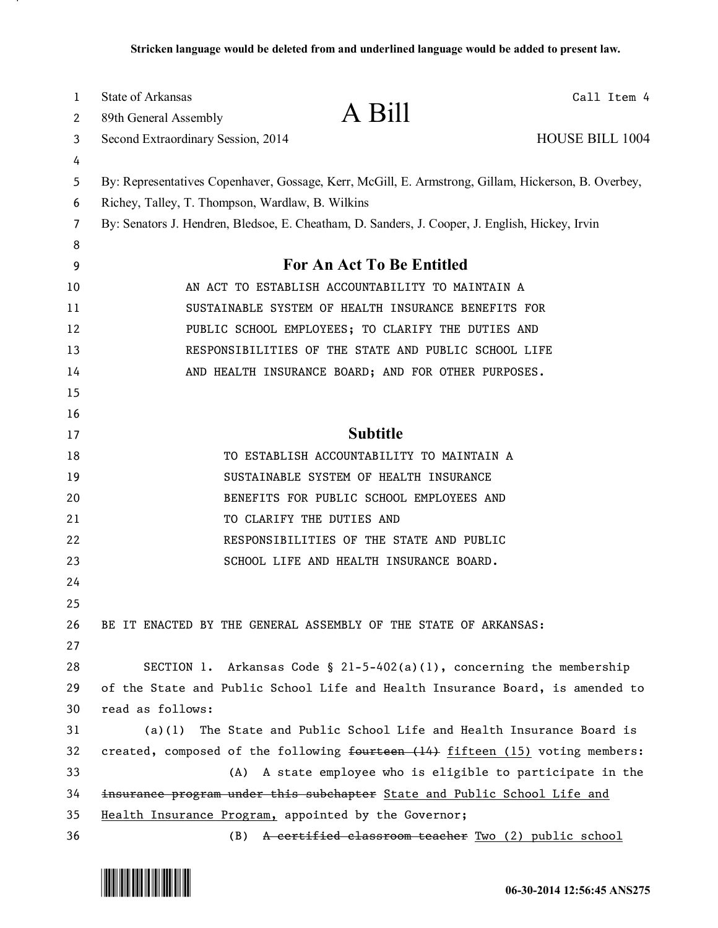| 1  | <b>State of Arkansas</b><br>Call Item 4                                                             |
|----|-----------------------------------------------------------------------------------------------------|
| 2  | A Bill<br>89th General Assembly                                                                     |
| 3  | <b>HOUSE BILL 1004</b><br>Second Extraordinary Session, 2014                                        |
| 4  |                                                                                                     |
| 5  | By: Representatives Copenhaver, Gossage, Kerr, McGill, E. Armstrong, Gillam, Hickerson, B. Overbey, |
| 6  | Richey, Talley, T. Thompson, Wardlaw, B. Wilkins                                                    |
| 7  | By: Senators J. Hendren, Bledsoe, E. Cheatham, D. Sanders, J. Cooper, J. English, Hickey, Irvin     |
| 8  |                                                                                                     |
| 9  | <b>For An Act To Be Entitled</b>                                                                    |
| 10 | AN ACT TO ESTABLISH ACCOUNTABILITY TO MAINTAIN A                                                    |
| 11 | SUSTAINABLE SYSTEM OF HEALTH INSURANCE BENEFITS FOR                                                 |
| 12 | PUBLIC SCHOOL EMPLOYEES; TO CLARIFY THE DUTIES AND                                                  |
| 13 | RESPONSIBILITIES OF THE STATE AND PUBLIC SCHOOL LIFE                                                |
| 14 | AND HEALTH INSURANCE BOARD; AND FOR OTHER PURPOSES.                                                 |
| 15 |                                                                                                     |
| 16 |                                                                                                     |
| 17 | <b>Subtitle</b>                                                                                     |
| 18 | TO ESTABLISH ACCOUNTABILITY TO MAINTAIN A                                                           |
| 19 | SUSTAINABLE SYSTEM OF HEALTH INSURANCE                                                              |
| 20 | BENEFITS FOR PUBLIC SCHOOL EMPLOYEES AND                                                            |
| 21 | TO CLARIFY THE DUTIES AND                                                                           |
| 22 | RESPONSIBILITIES OF THE STATE AND PUBLIC                                                            |
| 23 | SCHOOL LIFE AND HEALTH INSURANCE BOARD.                                                             |
| 24 |                                                                                                     |
| 25 |                                                                                                     |
| 26 | BE IT ENACTED BY THE GENERAL ASSEMBLY OF THE STATE OF ARKANSAS:                                     |
| 27 |                                                                                                     |
| 28 | SECTION 1. Arkansas Code § $21-5-402(a)(1)$ , concerning the membership                             |
| 29 | of the State and Public School Life and Health Insurance Board, is amended to                       |
| 30 | read as follows:                                                                                    |
| 31 | The State and Public School Life and Health Insurance Board is<br>(a)(1)                            |
| 32 | created, composed of the following fourteen (14) fifteen (15) voting members:                       |
| 33 | A state employee who is eligible to participate in the<br>(A)                                       |
| 34 | insurance program under this subchapter State and Public School Life and                            |
| 35 | Health Insurance Program, appointed by the Governor;                                                |
| 36 | A certified classroom teacher Two (2) public school<br>(B)                                          |



.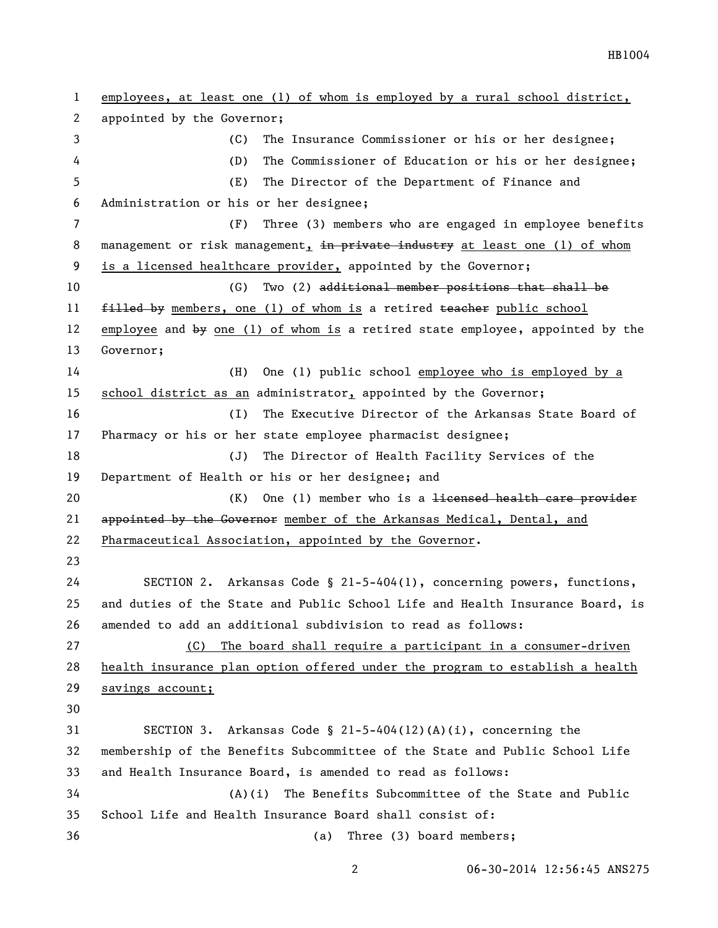employees, at least one (1) of whom is employed by a rural school district, appointed by the Governor; (C) The Insurance Commissioner or his or her designee; (D) The Commissioner of Education or his or her designee; (E) The Director of the Department of Finance and Administration or his or her designee; (F) Three (3) members who are engaged in employee benefits 8 management or risk management, in private industry at least one (1) of whom is a licensed healthcare provider, appointed by the Governor; (G) Two (2) additional member positions that shall be 11 filled by members, one (1) of whom is a retired teacher public school employee and by one (1) of whom is a retired state employee, appointed by the Governor; (H) One (1) public school employee who is employed by a school district as an administrator, appointed by the Governor; (I) The Executive Director of the Arkansas State Board of Pharmacy or his or her state employee pharmacist designee; (J) The Director of Health Facility Services of the Department of Health or his or her designee; and 20 (K) One (1) member who is a <del>licensed health care provider</del> 21 appointed by the Governor member of the Arkansas Medical, Dental, and Pharmaceutical Association, appointed by the Governor. SECTION 2. Arkansas Code § 21-5-404(1), concerning powers, functions, and duties of the State and Public School Life and Health Insurance Board, is amended to add an additional subdivision to read as follows: (C) The board shall require a participant in a consumer-driven health insurance plan option offered under the program to establish a health savings account; SECTION 3. Arkansas Code § 21-5-404(12)(A)(i), concerning the membership of the Benefits Subcommittee of the State and Public School Life and Health Insurance Board, is amended to read as follows: (A)(i) The Benefits Subcommittee of the State and Public School Life and Health Insurance Board shall consist of: (a) Three (3) board members;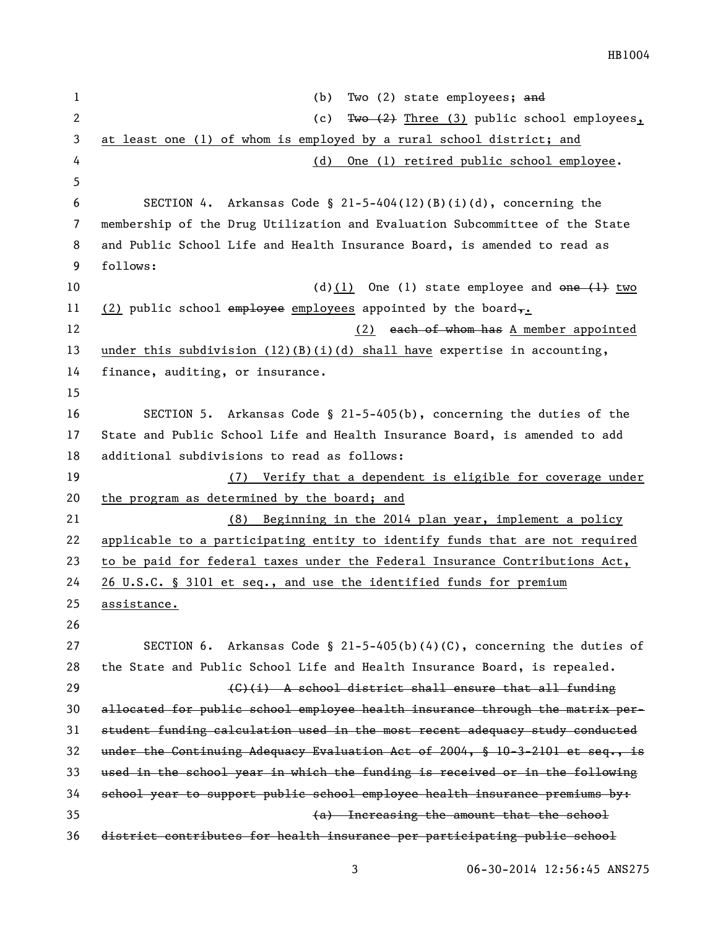HB1004

1 (b) Two (2) state employees; and 2 (c) Two (2) Three (3) public school employees, at least one (1) of whom is employed by a rural school district; and (d) One (1) retired public school employee. 6 SECTION 4. Arkansas Code §  $21-5-404(12)(B)(i)(d)$ , concerning the membership of the Drug Utilization and Evaluation Subcommittee of the State and Public School Life and Health Insurance Board, is amended to read as follows:  $(d)(1)$  One (1) state employee and one  $\left(1\right)$  two 11 (2) public school employee employees appointed by the board,. 12 (2) each of whom has A member appointed under this subdivision (12)(B)(i)(d) shall have expertise in accounting, finance, auditing, or insurance. SECTION 5. Arkansas Code § 21-5-405(b), concerning the duties of the State and Public School Life and Health Insurance Board, is amended to add additional subdivisions to read as follows: (7) Verify that a dependent is eligible for coverage under the program as determined by the board; and (8) Beginning in the 2014 plan year, implement a policy applicable to a participating entity to identify funds that are not required to be paid for federal taxes under the Federal Insurance Contributions Act, 26 U.S.C. § 3101 et seq., and use the identified funds for premium assistance. SECTION 6. Arkansas Code § 21-5-405(b)(4)(C), concerning the duties of the State and Public School Life and Health Insurance Board, is repealed. 29 (G)(i) A school district shall ensure that all funding allocated for public school employee health insurance through the matrix per- student funding calculation used in the most recent adequacy study conducted under the Continuing Adequacy Evaluation Act of 2004, § 10-3-2101 et seq., is used in the school year in which the funding is received or in the following school year to support public school employee health insurance premiums by: (a) Increasing the amount that the school district contributes for health insurance per participating public school

06-30-2014 12:56:45 ANS275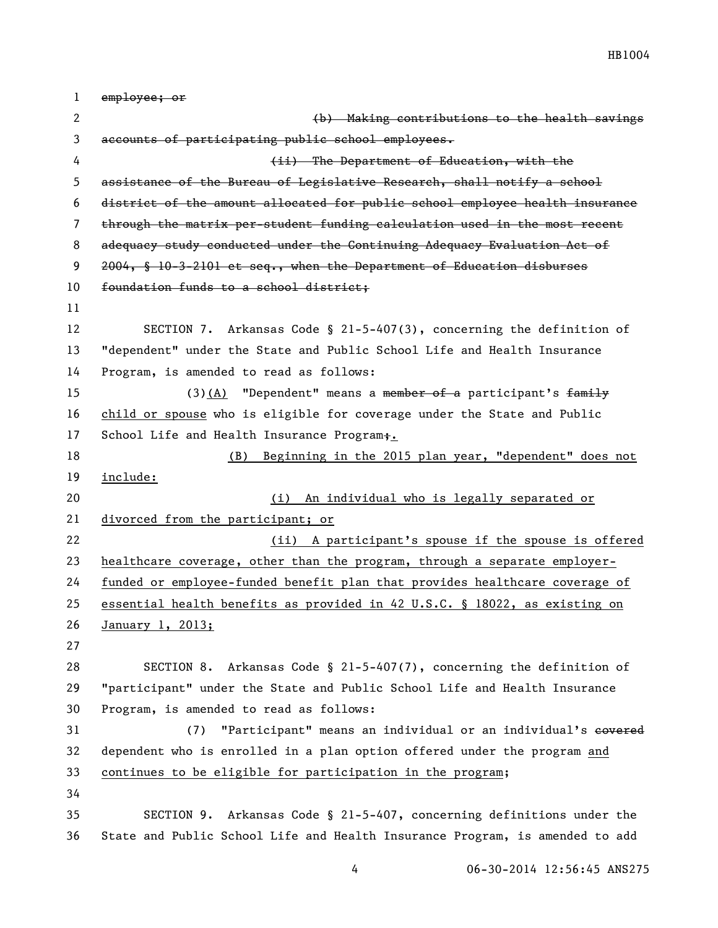| $\mathbf 1$ | employee; or                                                                 |
|-------------|------------------------------------------------------------------------------|
| 2           | (b) Making contributions to the health savings                               |
| 3           | accounts of participating public school employees.                           |
| 4           | (ii) The Department of Education, with the                                   |
| 5           | assistance of the Bureau of Legislative Research, shall notify a school      |
| 6           | district of the amount allocated for public school employee health insurance |
| 7           | through the matrix per-student funding calculation used in the most recent   |
| 8           | adequacy study conducted under the Continuing Adequacy Evaluation Act of     |
| 9           | 2004, § 10-3-2101 et seq., when the Department of Education disburses        |
| 10          | foundation funds to a school district;                                       |
| 11          |                                                                              |
| 12          | SECTION 7. Arkansas Code § 21-5-407(3), concerning the definition of         |
| 13          | "dependent" under the State and Public School Life and Health Insurance      |
| 14          | Program, is amended to read as follows:                                      |
| 15          | $(3)$ (A) "Dependent" means a member of a participant's family               |
| 16          | child or spouse who is eligible for coverage under the State and Public      |
| 17          | School Life and Health Insurance Program;.                                   |
| 18          | Beginning in the 2015 plan year, "dependent" does not<br>(B)                 |
| 19          | include:                                                                     |
| 20          | An individual who is legally separated or<br>(i)                             |
| 21          | divorced from the participant; or                                            |
| 22          | A participant's spouse if the spouse is offered<br>(ii)                      |
| 23          | healthcare coverage, other than the program, through a separate employer-    |
| 24          | funded or employee-funded benefit plan that provides healthcare coverage of  |
| 25          | essential health benefits as provided in 42 U.S.C. § 18022, as existing on   |
| 26          | January 1, 2013;                                                             |
| 27          |                                                                              |
| 28          | SECTION 8. Arkansas Code § 21-5-407(7), concerning the definition of         |
| 29          | "participant" under the State and Public School Life and Health Insurance    |
| 30          | Program, is amended to read as follows:                                      |
| 31          | "Participant" means an individual or an individual's covered<br>(7)          |
| 32          | dependent who is enrolled in a plan option offered under the program and     |
| 33          | continues to be eligible for participation in the program;                   |
| 34          |                                                                              |
| 35          | Arkansas Code § 21-5-407, concerning definitions under the<br>SECTION 9.     |
| 36          | State and Public School Life and Health Insurance Program, is amended to add |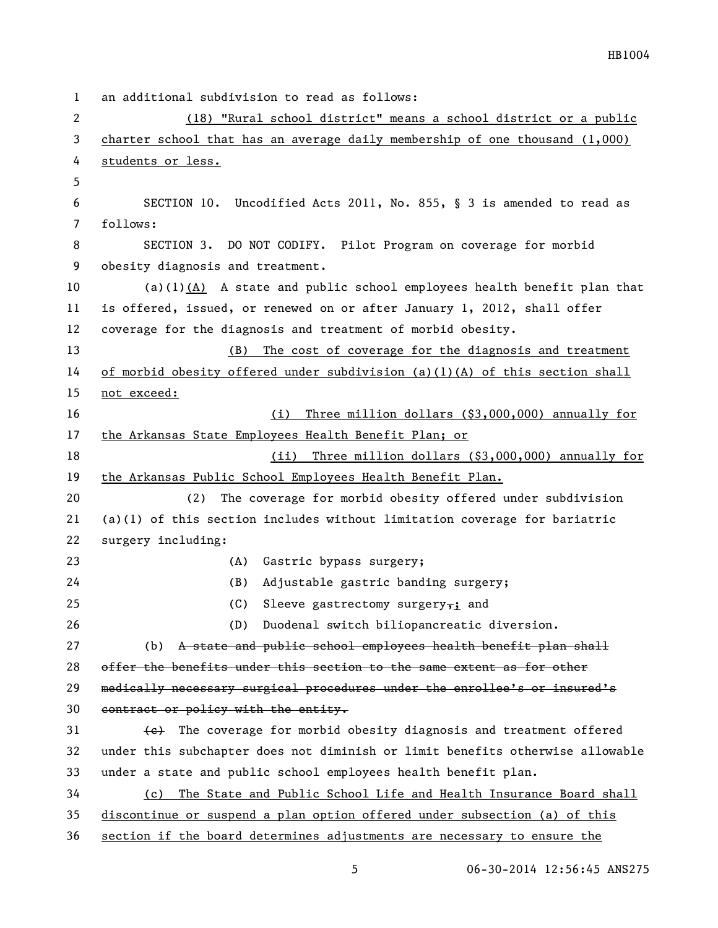an additional subdivision to read as follows: (18) "Rural school district" means a school district or a public charter school that has an average daily membership of one thousand (1,000) students or less. SECTION 10. Uncodified Acts 2011, No. 855, § 3 is amended to read as follows: SECTION 3. DO NOT CODIFY. Pilot Program on coverage for morbid obesity diagnosis and treatment. (a)(1)(A) A state and public school employees health benefit plan that is offered, issued, or renewed on or after January 1, 2012, shall offer coverage for the diagnosis and treatment of morbid obesity. (B) The cost of coverage for the diagnosis and treatment of morbid obesity offered under subdivision (a)(1)(A) of this section shall not exceed: (i) Three million dollars (\$3,000,000) annually for 17 the Arkansas State Employees Health Benefit Plan; or (ii) Three million dollars (\$3,000,000) annually for the Arkansas Public School Employees Health Benefit Plan. (2) The coverage for morbid obesity offered under subdivision 21 (a)(1) of this section includes without limitation coverage for bariatric surgery including: (A) Gastric bypass surgery; (B) Adjustable gastric banding surgery; 25 (C) Sleeve gastrectomy surgery<sub>7</sub>; and (D) Duodenal switch biliopancreatic diversion. 27 (b) A state and public school employees health benefit plan shall offer the benefits under this section to the same extent as for other 29 medically necessary surgical procedures under the enrollee's or insured's 30 contract or policy with the entity.  $\{e\}$  The coverage for morbid obesity diagnosis and treatment offered under this subchapter does not diminish or limit benefits otherwise allowable under a state and public school employees health benefit plan. (c) The State and Public School Life and Health Insurance Board shall discontinue or suspend a plan option offered under subsection (a) of this section if the board determines adjustments are necessary to ensure the

06-30-2014 12:56:45 ANS275